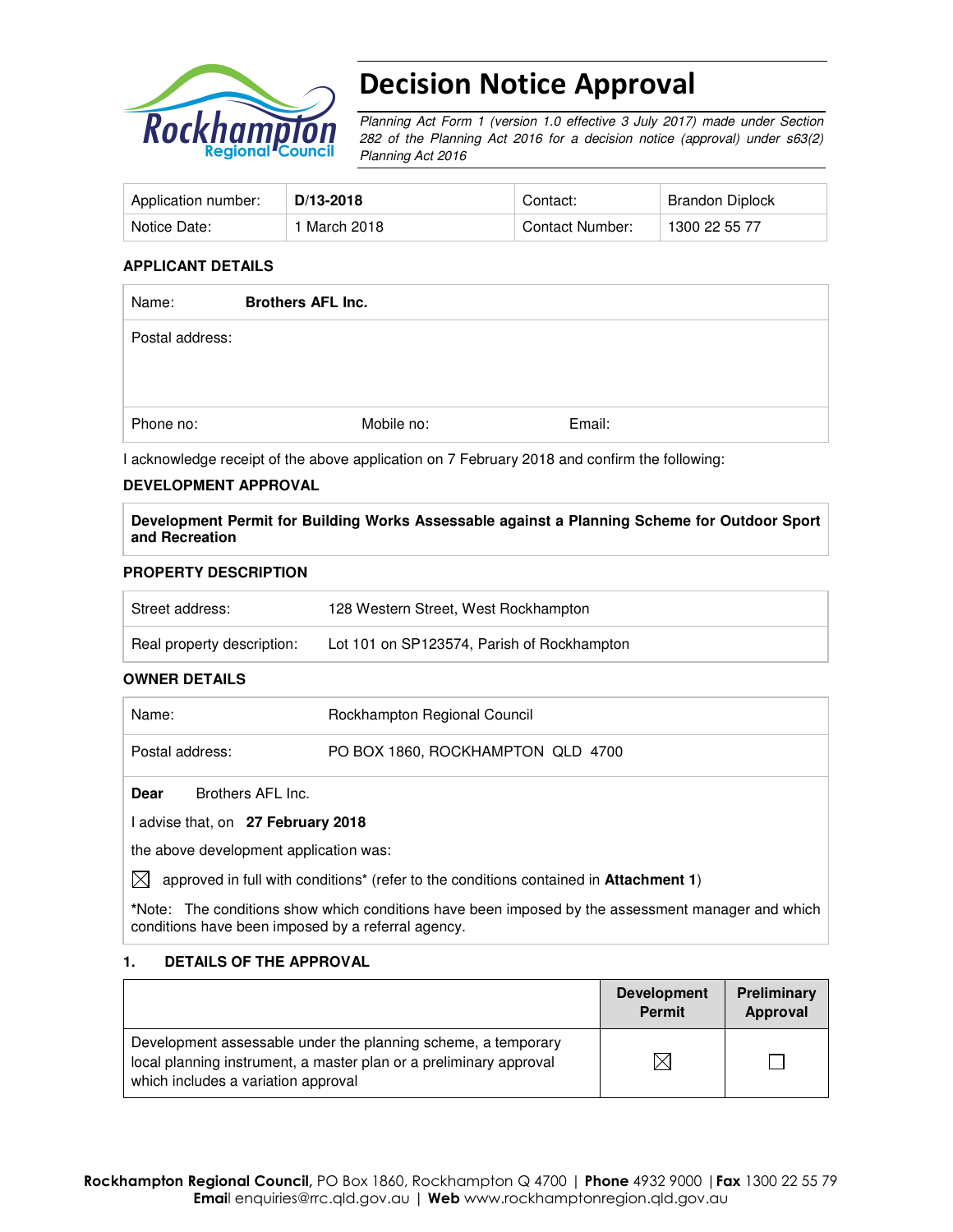

# Decision Notice Approval

Planning Act Form 1 (version 1.0 effective 3 July 2017) made under Section 282 of the Planning Act 2016 for a decision notice (approval) under s63(2) Planning Act 2016

| Application number: | D/13-2018    | Contact:        | Brandon Diplock |
|---------------------|--------------|-----------------|-----------------|
| Notice Date:        | 1 March 2018 | Contact Number: | 1300 22 55 77   |

#### **APPLICANT DETAILS**

| Name:           | <b>Brothers AFL Inc.</b> |        |
|-----------------|--------------------------|--------|
| Postal address: |                          |        |
| Phone no:       | Mobile no:               | Email: |

I acknowledge receipt of the above application on 7 February 2018 and confirm the following:

### **DEVELOPMENT APPROVAL**

**Development Permit for Building Works Assessable against a Planning Scheme for Outdoor Sport and Recreation** 

### **PROPERTY DESCRIPTION**

| Street address:            | 128 Western Street, West Rockhampton       |
|----------------------------|--------------------------------------------|
| Real property description: | Lot 101 on SP123574, Parish of Rockhampton |

#### **OWNER DETAILS**

| Name:                                                                                       | Rockhampton Regional Council      |  |
|---------------------------------------------------------------------------------------------|-----------------------------------|--|
| Postal address:                                                                             | PO BOX 1860, ROCKHAMPTON QLD 4700 |  |
| Brothers AFL Inc.<br>Dear                                                                   |                                   |  |
| advise that, on 27 February 2018                                                            |                                   |  |
| the above development application was:                                                      |                                   |  |
| IX<br>approved in full with conditions* (refer to the conditions contained in Attachment 1) |                                   |  |

**\***Note:The conditions show which conditions have been imposed by the assessment manager and which conditions have been imposed by a referral agency.

### **1. DETAILS OF THE APPROVAL**

|                                                                                                                                                                            | <b>Development</b><br><b>Permit</b> | Preliminary<br>Approval |
|----------------------------------------------------------------------------------------------------------------------------------------------------------------------------|-------------------------------------|-------------------------|
| Development assessable under the planning scheme, a temporary<br>local planning instrument, a master plan or a preliminary approval<br>which includes a variation approval |                                     |                         |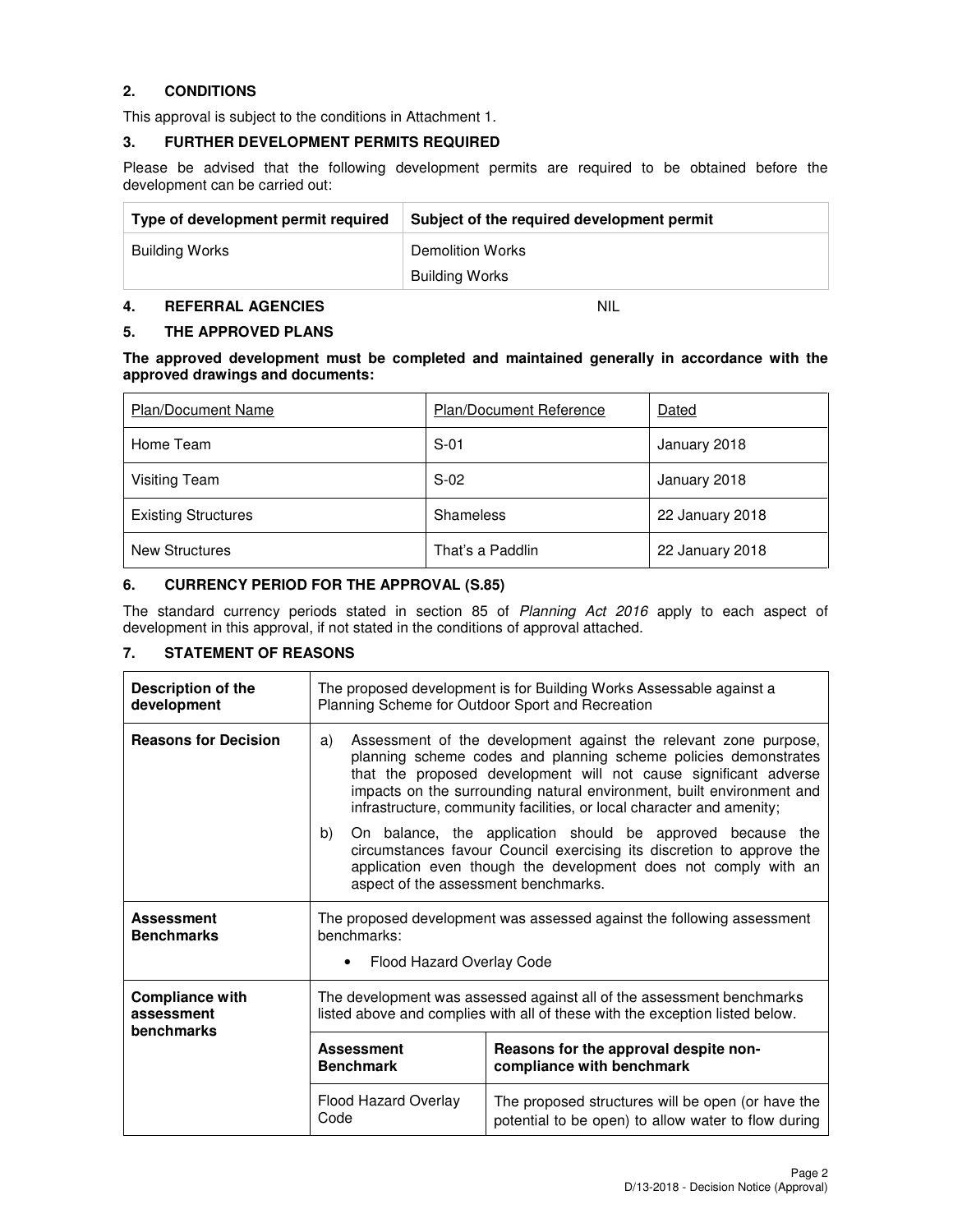## **2. CONDITIONS**

This approval is subject to the conditions in Attachment 1.

#### **3. FURTHER DEVELOPMENT PERMITS REQUIRED**

Please be advised that the following development permits are required to be obtained before the development can be carried out:

| Type of development permit required | Subject of the required development permit |
|-------------------------------------|--------------------------------------------|
| Building Works                      | Demolition Works                           |
|                                     | Building Works                             |

#### **4. REFERRAL AGENCIES** NIL

#### **5. THE APPROVED PLANS**

**The approved development must be completed and maintained generally in accordance with the approved drawings and documents:** 

| <b>Plan/Document Name</b>  | <b>Plan/Document Reference</b> | Dated           |
|----------------------------|--------------------------------|-----------------|
| Home Team                  | $S-01$                         | January 2018    |
| Visiting Team              | $S-02$                         | January 2018    |
| <b>Existing Structures</b> | Shameless                      | 22 January 2018 |
| <b>New Structures</b>      | That's a Paddlin               | 22 January 2018 |

### **6. CURRENCY PERIOD FOR THE APPROVAL (S.85)**

The standard currency periods stated in section 85 of Planning Act 2016 apply to each aspect of development in this approval, if not stated in the conditions of approval attached.

## **7. STATEMENT OF REASONS**

| <b>Description of the</b><br>development           | The proposed development is for Building Works Assessable against a<br>Planning Scheme for Outdoor Sport and Recreation                                                                                                                                                                                                                                         |                                                                                                                                                                                                        |
|----------------------------------------------------|-----------------------------------------------------------------------------------------------------------------------------------------------------------------------------------------------------------------------------------------------------------------------------------------------------------------------------------------------------------------|--------------------------------------------------------------------------------------------------------------------------------------------------------------------------------------------------------|
| <b>Reasons for Decision</b>                        | Assessment of the development against the relevant zone purpose,<br>a)<br>planning scheme codes and planning scheme policies demonstrates<br>that the proposed development will not cause significant adverse<br>impacts on the surrounding natural environment, built environment and<br>infrastructure, community facilities, or local character and amenity; |                                                                                                                                                                                                        |
|                                                    | b)<br>aspect of the assessment benchmarks.                                                                                                                                                                                                                                                                                                                      | On balance, the application should be approved because the<br>circumstances favour Council exercising its discretion to approve the<br>application even though the development does not comply with an |
| <b>Assessment</b><br><b>Benchmarks</b>             | The proposed development was assessed against the following assessment<br>benchmarks:                                                                                                                                                                                                                                                                           |                                                                                                                                                                                                        |
|                                                    | Flood Hazard Overlay Code<br>$\bullet$                                                                                                                                                                                                                                                                                                                          |                                                                                                                                                                                                        |
| <b>Compliance with</b><br>assessment<br>benchmarks | The development was assessed against all of the assessment benchmarks<br>listed above and complies with all of these with the exception listed below.                                                                                                                                                                                                           |                                                                                                                                                                                                        |
|                                                    | <b>Assessment</b><br><b>Benchmark</b>                                                                                                                                                                                                                                                                                                                           | Reasons for the approval despite non-<br>compliance with benchmark                                                                                                                                     |
|                                                    | Flood Hazard Overlay<br>Code                                                                                                                                                                                                                                                                                                                                    | The proposed structures will be open (or have the<br>potential to be open) to allow water to flow during                                                                                               |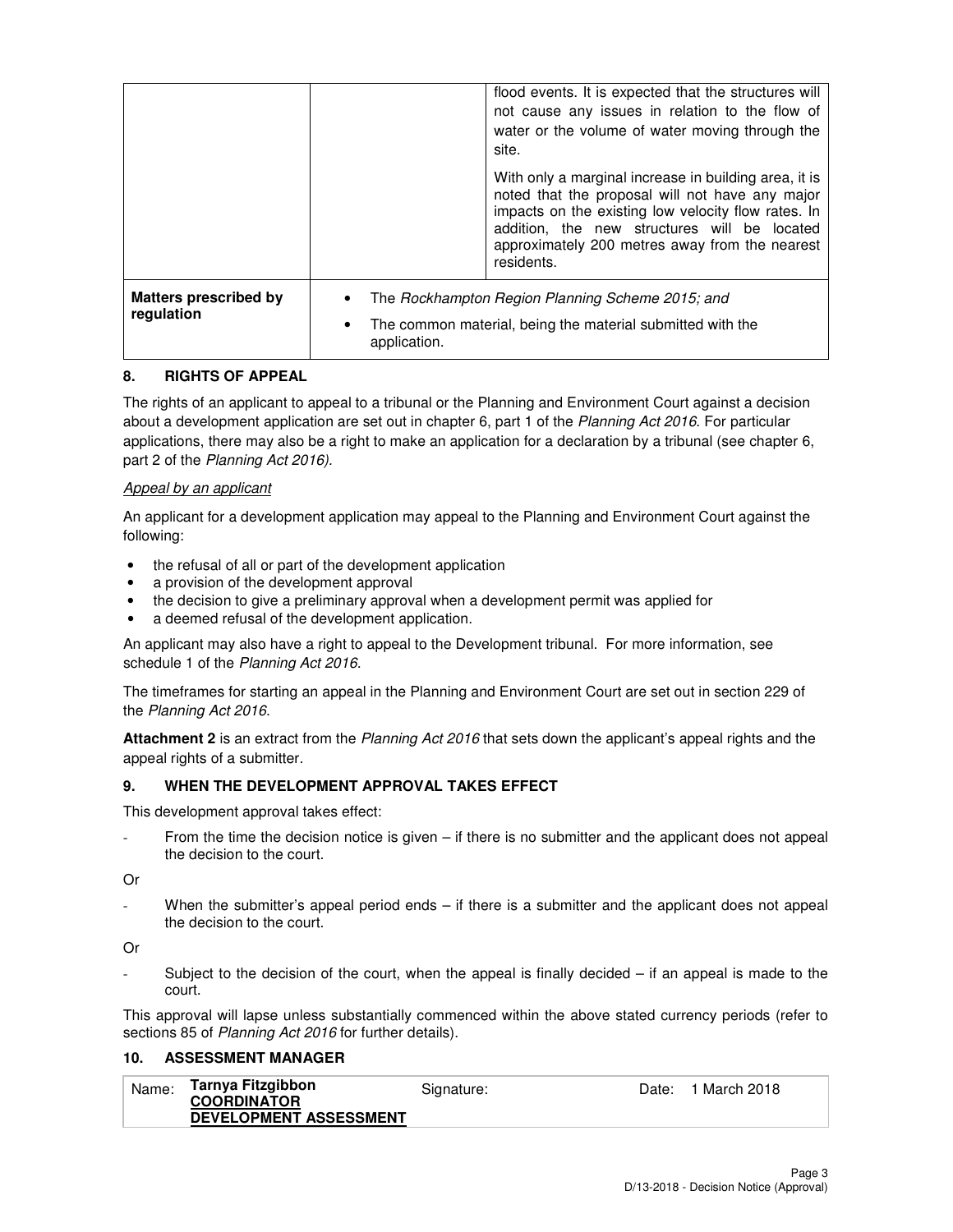|                                            |                           | flood events. It is expected that the structures will<br>not cause any issues in relation to the flow of<br>water or the volume of water moving through the<br>site.                                                                                                            |
|--------------------------------------------|---------------------------|---------------------------------------------------------------------------------------------------------------------------------------------------------------------------------------------------------------------------------------------------------------------------------|
|                                            |                           | With only a marginal increase in building area, it is<br>noted that the proposal will not have any major<br>impacts on the existing low velocity flow rates. In<br>addition, the new structures will be located<br>approximately 200 metres away from the nearest<br>residents. |
| <b>Matters prescribed by</b><br>regulation | $\bullet$<br>application. | The Rockhampton Region Planning Scheme 2015; and<br>The common material, being the material submitted with the                                                                                                                                                                  |

## **8. RIGHTS OF APPEAL**

The rights of an applicant to appeal to a tribunal or the Planning and Environment Court against a decision about a development application are set out in chapter 6, part 1 of the Planning Act 2016. For particular applications, there may also be a right to make an application for a declaration by a tribunal (see chapter 6, part 2 of the Planning Act 2016).

### Appeal by an applicant

An applicant for a development application may appeal to the Planning and Environment Court against the following:

- the refusal of all or part of the development application
- a provision of the development approval
- the decision to give a preliminary approval when a development permit was applied for
- a deemed refusal of the development application.

An applicant may also have a right to appeal to the Development tribunal. For more information, see schedule 1 of the Planning Act 2016.

The timeframes for starting an appeal in the Planning and Environment Court are set out in section 229 of the Planning Act 2016.

**Attachment 2** is an extract from the Planning Act 2016 that sets down the applicant's appeal rights and the appeal rights of a submitter.

### **9. WHEN THE DEVELOPMENT APPROVAL TAKES EFFECT**

This development approval takes effect:

From the time the decision notice is given  $-$  if there is no submitter and the applicant does not appeal the decision to the court.

Or

When the submitter's appeal period ends  $-$  if there is a submitter and the applicant does not appeal the decision to the court.

Or

Subject to the decision of the court, when the appeal is finally decided  $-$  if an appeal is made to the court.

This approval will lapse unless substantially commenced within the above stated currency periods (refer to sections 85 of Planning Act 2016 for further details).

## **10. ASSESSMENT MANAGER**

| Name: | Tarnya Fitzgibbon<br><b>COORDINATOR</b> | Signature: | Date: | 1 March 2018 |
|-------|-----------------------------------------|------------|-------|--------------|
|       | <b>DEVELOPMENT ASSESSMENT</b>           |            |       |              |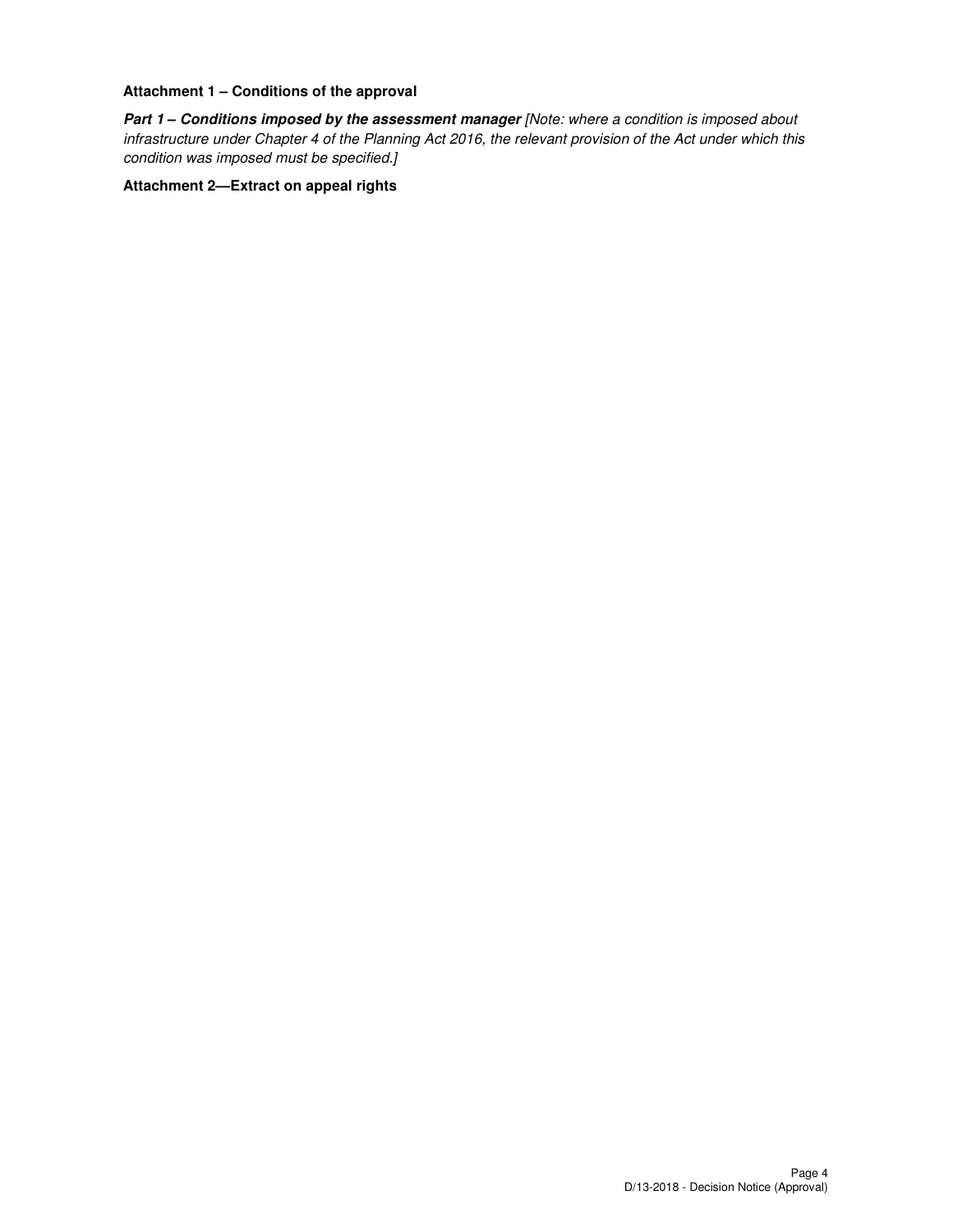#### **Attachment 1 – Conditions of the approval**

Part 1 - Conditions imposed by the assessment manager [Note: where a condition is imposed about infrastructure under Chapter 4 of the Planning Act 2016, the relevant provision of the Act under which this condition was imposed must be specified.]

#### **Attachment 2—Extract on appeal rights**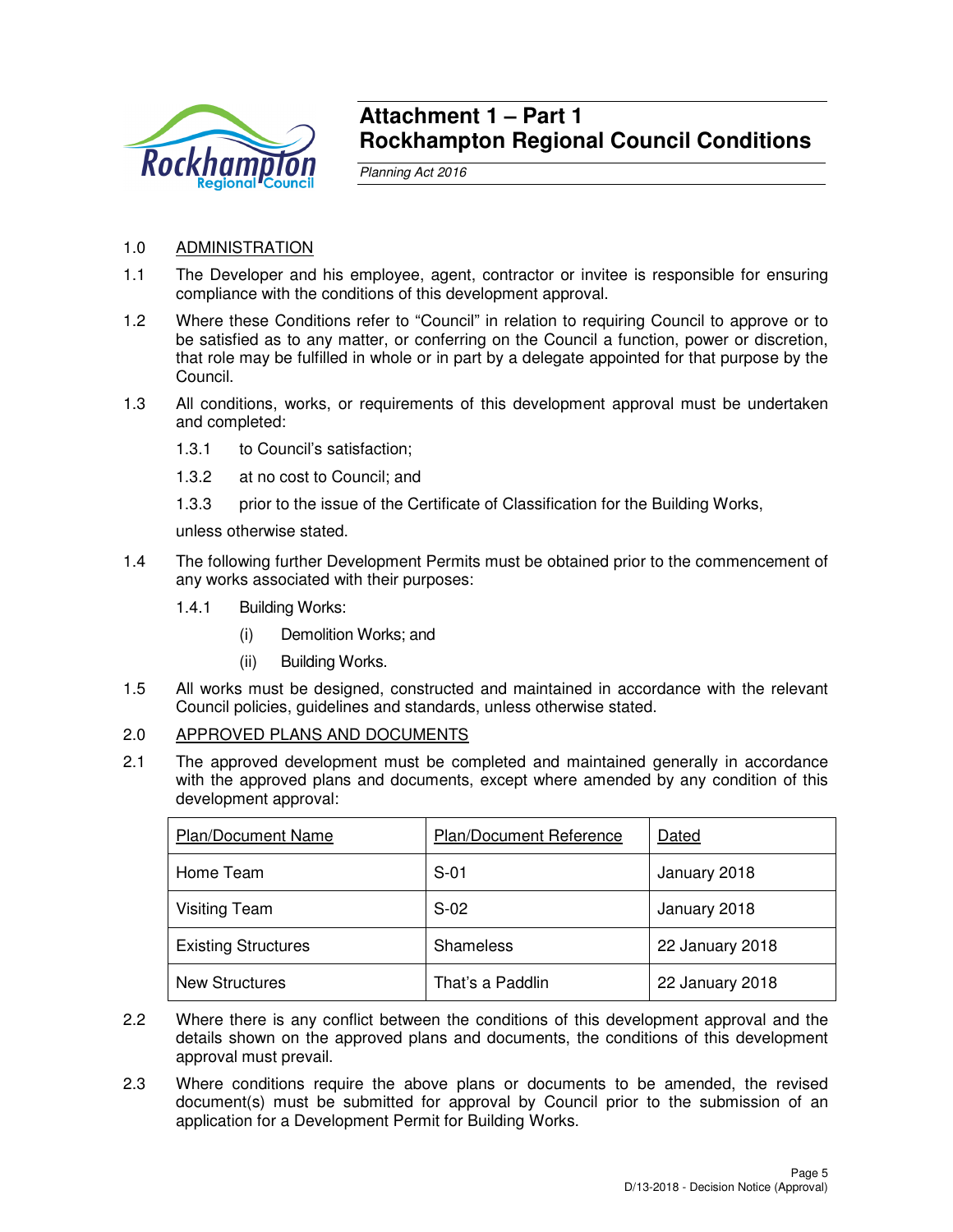

## **Attachment 1 – Part 1 Rockhampton Regional Council Conditions**

Planning Act 2016

## 1.0 ADMINISTRATION

- 1.1 The Developer and his employee, agent, contractor or invitee is responsible for ensuring compliance with the conditions of this development approval.
- 1.2 Where these Conditions refer to "Council" in relation to requiring Council to approve or to be satisfied as to any matter, or conferring on the Council a function, power or discretion, that role may be fulfilled in whole or in part by a delegate appointed for that purpose by the Council.
- 1.3 All conditions, works, or requirements of this development approval must be undertaken and completed:
	- 1.3.1 to Council's satisfaction;
	- 1.3.2 at no cost to Council; and
	- 1.3.3 prior to the issue of the Certificate of Classification for the Building Works,

unless otherwise stated.

- 1.4 The following further Development Permits must be obtained prior to the commencement of any works associated with their purposes:
	- 1.4.1 Building Works:
		- (i) Demolition Works; and
		- (ii) Building Works.
- 1.5 All works must be designed, constructed and maintained in accordance with the relevant Council policies, guidelines and standards, unless otherwise stated.

## 2.0 APPROVED PLANS AND DOCUMENTS

2.1 The approved development must be completed and maintained generally in accordance with the approved plans and documents, except where amended by any condition of this development approval:

| <b>Plan/Document Name</b>  | <b>Plan/Document Reference</b> | Dated           |
|----------------------------|--------------------------------|-----------------|
| Home Team                  | $S-01$                         | January 2018    |
| <b>Visiting Team</b>       | $S-02$                         | January 2018    |
| <b>Existing Structures</b> | Shameless                      | 22 January 2018 |
| <b>New Structures</b>      | That's a Paddlin               | 22 January 2018 |

- 2.2 Where there is any conflict between the conditions of this development approval and the details shown on the approved plans and documents, the conditions of this development approval must prevail.
- 2.3 Where conditions require the above plans or documents to be amended, the revised document(s) must be submitted for approval by Council prior to the submission of an application for a Development Permit for Building Works.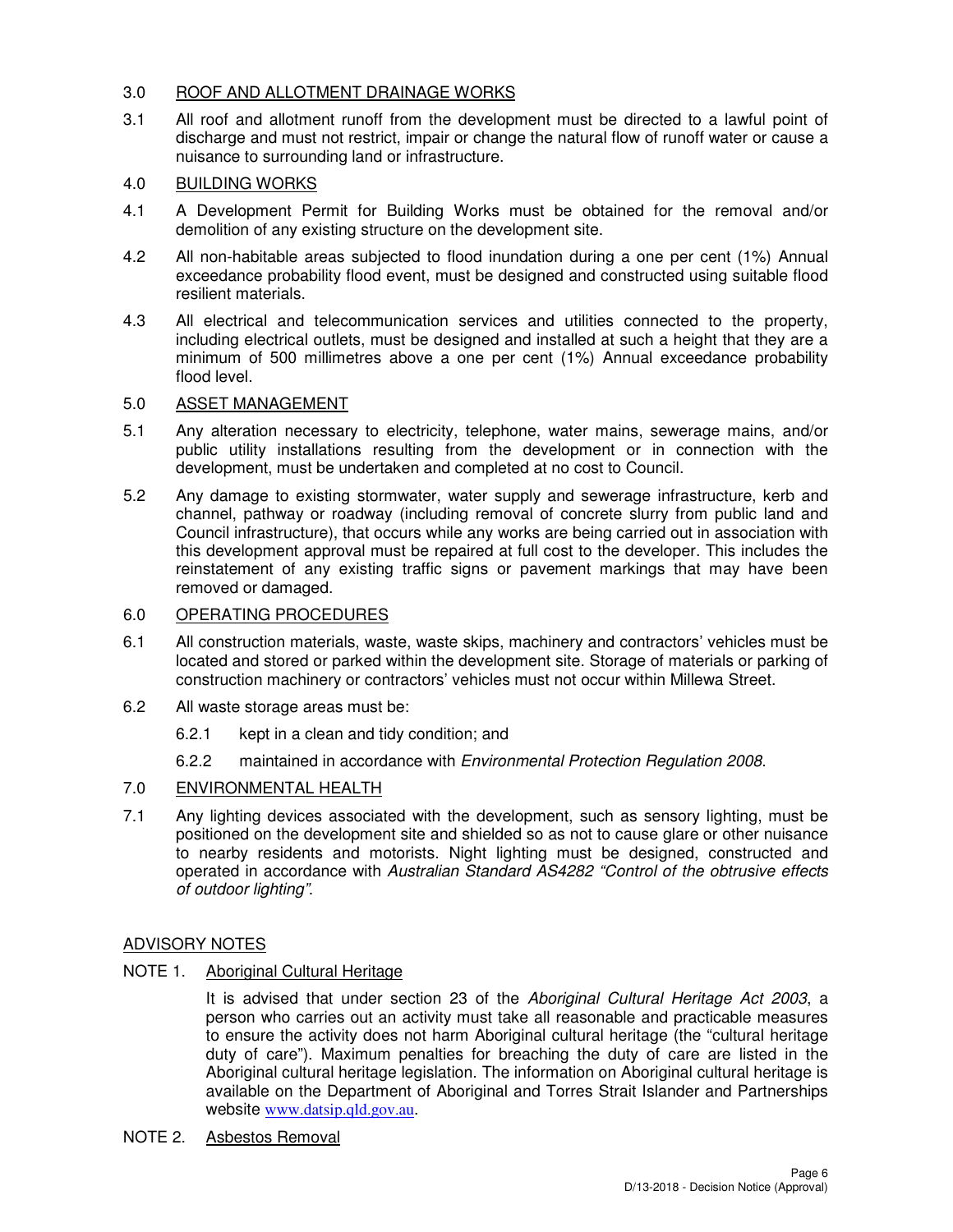## 3.0 ROOF AND ALLOTMENT DRAINAGE WORKS

3.1 All roof and allotment runoff from the development must be directed to a lawful point of discharge and must not restrict, impair or change the natural flow of runoff water or cause a nuisance to surrounding land or infrastructure.

## 4.0 BUILDING WORKS

- 4.1 A Development Permit for Building Works must be obtained for the removal and/or demolition of any existing structure on the development site.
- 4.2 All non-habitable areas subjected to flood inundation during a one per cent (1%) Annual exceedance probability flood event, must be designed and constructed using suitable flood resilient materials.
- 4.3 All electrical and telecommunication services and utilities connected to the property, including electrical outlets, must be designed and installed at such a height that they are a minimum of 500 millimetres above a one per cent (1%) Annual exceedance probability flood level.

## 5.0 ASSET MANAGEMENT

- 5.1 Any alteration necessary to electricity, telephone, water mains, sewerage mains, and/or public utility installations resulting from the development or in connection with the development, must be undertaken and completed at no cost to Council.
- 5.2 Any damage to existing stormwater, water supply and sewerage infrastructure, kerb and channel, pathway or roadway (including removal of concrete slurry from public land and Council infrastructure), that occurs while any works are being carried out in association with this development approval must be repaired at full cost to the developer. This includes the reinstatement of any existing traffic signs or pavement markings that may have been removed or damaged.

## 6.0 OPERATING PROCEDURES

- 6.1 All construction materials, waste, waste skips, machinery and contractors' vehicles must be located and stored or parked within the development site. Storage of materials or parking of construction machinery or contractors' vehicles must not occur within Millewa Street.
- 6.2 All waste storage areas must be:
	- 6.2.1 kept in a clean and tidy condition; and
	- 6.2.2 maintained in accordance with Environmental Protection Regulation 2008.

## 7.0 ENVIRONMENTAL HEALTH

7.1 Any lighting devices associated with the development, such as sensory lighting, must be positioned on the development site and shielded so as not to cause glare or other nuisance to nearby residents and motorists. Night lighting must be designed, constructed and operated in accordance with Australian Standard AS4282 "Control of the obtrusive effects of outdoor lighting".

## ADVISORY NOTES

NOTE 1. Aboriginal Cultural Heritage

It is advised that under section 23 of the Aboriginal Cultural Heritage Act 2003, a person who carries out an activity must take all reasonable and practicable measures to ensure the activity does not harm Aboriginal cultural heritage (the "cultural heritage duty of care"). Maximum penalties for breaching the duty of care are listed in the Aboriginal cultural heritage legislation. The information on Aboriginal cultural heritage is available on the Department of Aboriginal and Torres Strait Islander and Partnerships website www.datsip.qld.gov.au.

NOTE 2. Asbestos Removal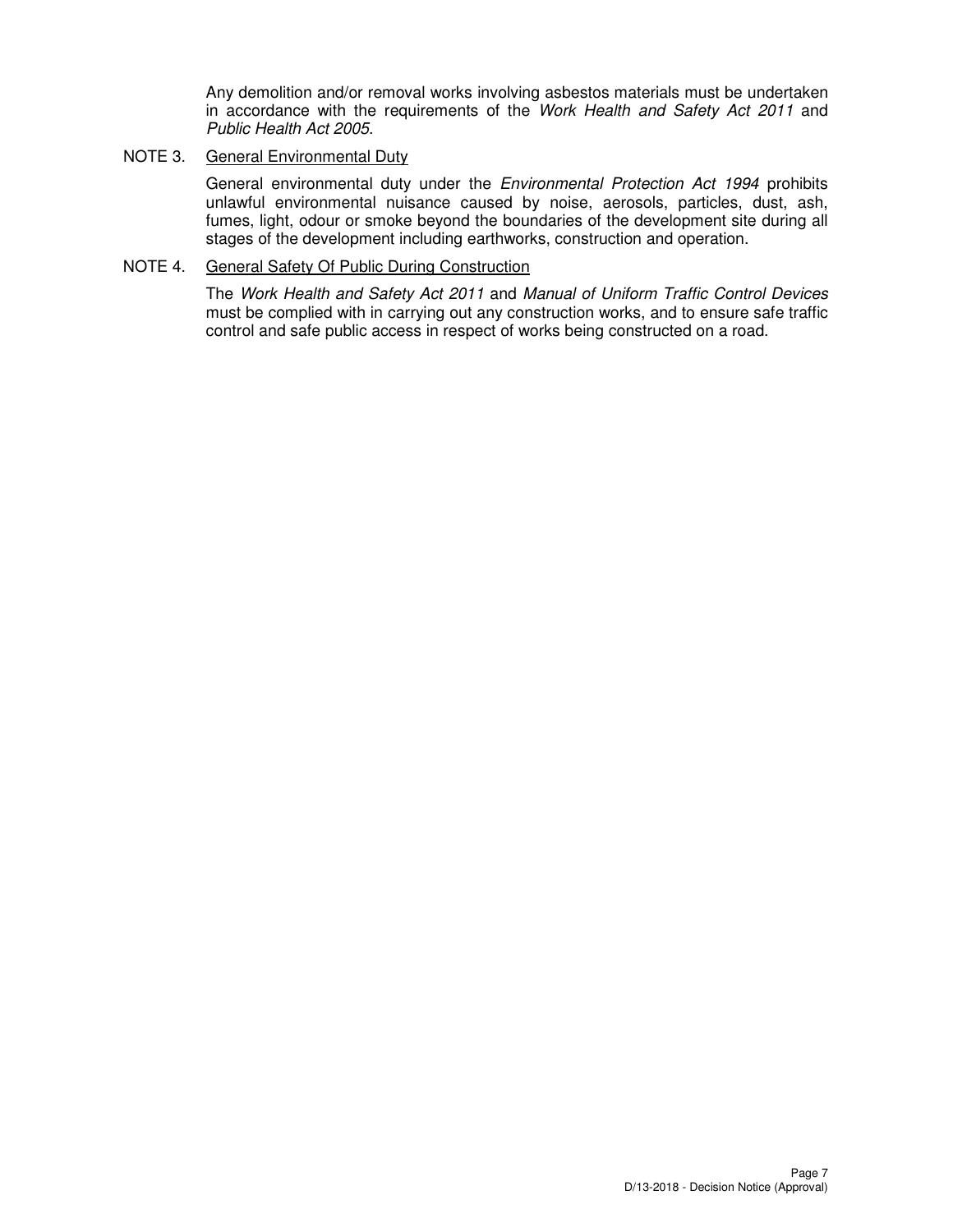Any demolition and/or removal works involving asbestos materials must be undertaken in accordance with the requirements of the Work Health and Safety Act 2011 and Public Health Act 2005.

## NOTE 3. General Environmental Duty

General environmental duty under the *Environmental Protection Act 1994* prohibits unlawful environmental nuisance caused by noise, aerosols, particles, dust, ash, fumes, light, odour or smoke beyond the boundaries of the development site during all stages of the development including earthworks, construction and operation.

## NOTE 4. General Safety Of Public During Construction

The Work Health and Safety Act 2011 and Manual of Uniform Traffic Control Devices must be complied with in carrying out any construction works, and to ensure safe traffic control and safe public access in respect of works being constructed on a road.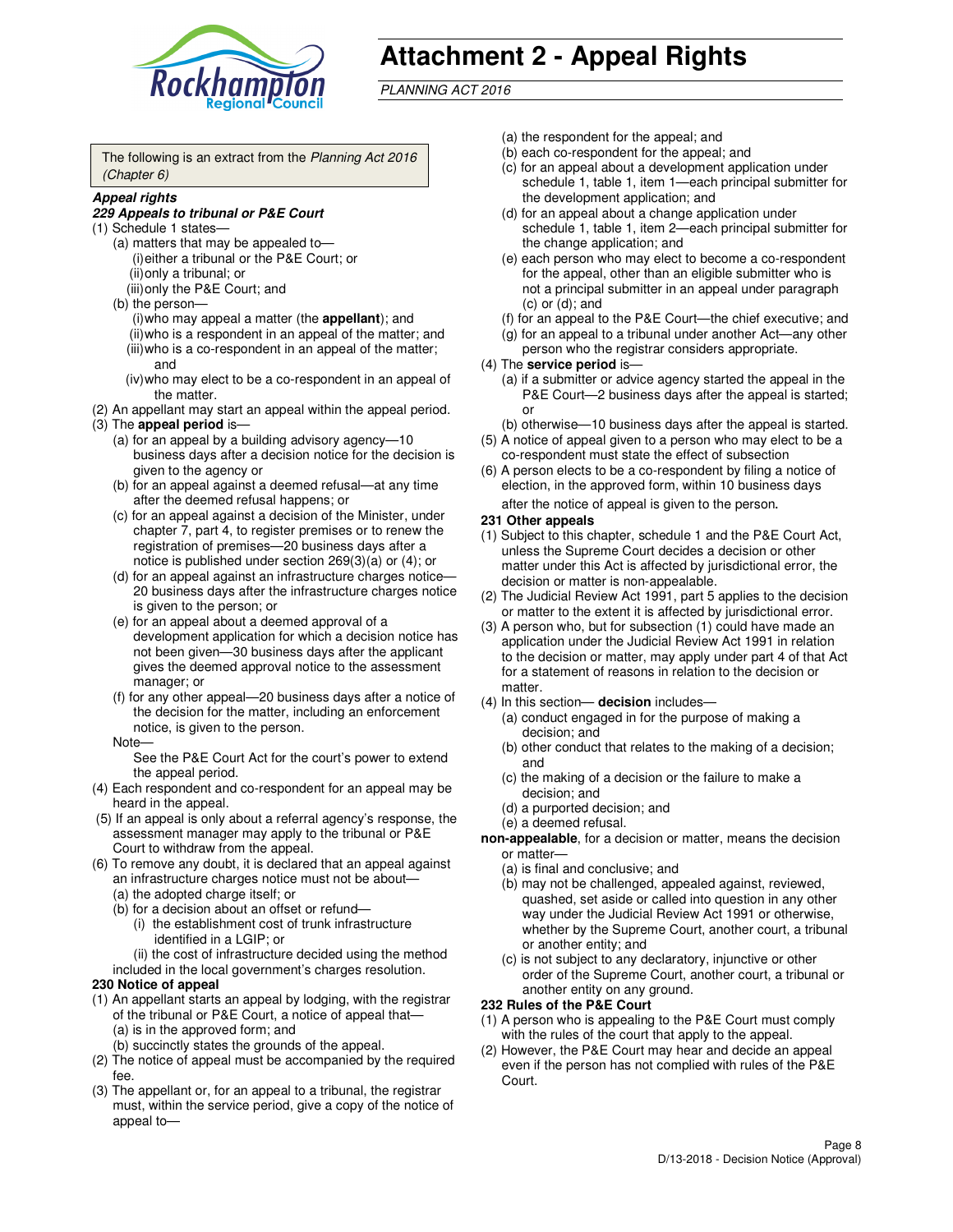

# **Attachment 2 - Appeal Rights**

PLANNING ACT 2016

The following is an extract from the Planning Act 2016 (Chapter 6)

#### **Appeal rights**

#### **229 Appeals to tribunal or P&E Court**

- (1) Schedule 1 states—
	- (a) matters that may be appealed to— (i) either a tribunal or the P&E Court; or (ii) only a tribunal; or (iii) only the P&E Court; and
	- (b) the person—
		- (i) who may appeal a matter (the **appellant**); and
		- (ii) who is a respondent in an appeal of the matter; and (iii) who is a co-respondent in an appeal of the matter; and
		- (iv) who may elect to be a co-respondent in an appeal of the matter.
- (2) An appellant may start an appeal within the appeal period.
- (3) The **appeal period** is—
	- (a) for an appeal by a building advisory agency—10 business days after a decision notice for the decision is given to the agency or
	- (b) for an appeal against a deemed refusal—at any time after the deemed refusal happens; or
	- (c) for an appeal against a decision of the Minister, under chapter 7, part 4, to register premises or to renew the registration of premises—20 business days after a notice is published under section 269(3)(a) or (4); or
	- (d) for an appeal against an infrastructure charges notice— 20 business days after the infrastructure charges notice is given to the person; or
	- (e) for an appeal about a deemed approval of a development application for which a decision notice has not been given—30 business days after the applicant gives the deemed approval notice to the assessment manager; or
	- (f) for any other appeal—20 business days after a notice of the decision for the matter, including an enforcement notice, is given to the person.
	- Note—

See the P&E Court Act for the court's power to extend the appeal period.

- (4) Each respondent and co-respondent for an appeal may be heard in the appeal.
- (5) If an appeal is only about a referral agency's response, the assessment manager may apply to the tribunal or P&E Court to withdraw from the appeal.
- (6) To remove any doubt, it is declared that an appeal against an infrastructure charges notice must not be about—
	- (a) the adopted charge itself; or
	- (b) for a decision about an offset or refund—
		- (i) the establishment cost of trunk infrastructure identified in a LGIP; or
		- (ii) the cost of infrastructure decided using the method
- included in the local government's charges resolution. **230 Notice of appeal**
- (1) An appellant starts an appeal by lodging, with the registrar of the tribunal or P&E Court, a notice of appeal that—
	- (a) is in the approved form; and
	- (b) succinctly states the grounds of the appeal.
- (2) The notice of appeal must be accompanied by the required fee.
- (3) The appellant or, for an appeal to a tribunal, the registrar must, within the service period, give a copy of the notice of appeal to—
- (a) the respondent for the appeal; and
- (b) each co-respondent for the appeal; and
- (c) for an appeal about a development application under schedule 1, table 1, item 1—each principal submitter for the development application; and
- (d) for an appeal about a change application under schedule 1, table 1, item 2—each principal submitter for the change application; and
- (e) each person who may elect to become a co-respondent for the appeal, other than an eligible submitter who is not a principal submitter in an appeal under paragraph  $(c)$  or  $(d)$ ; and
- (f) for an appeal to the P&E Court—the chief executive; and
- (g) for an appeal to a tribunal under another Act—any other person who the registrar considers appropriate.
- (4) The **service period** is—
	- (a) if a submitter or advice agency started the appeal in the P&E Court—2 business days after the appeal is started; or
	- (b) otherwise—10 business days after the appeal is started.
- (5) A notice of appeal given to a person who may elect to be a co-respondent must state the effect of subsection
- (6) A person elects to be a co-respondent by filing a notice of election, in the approved form, within 10 business days after the notice of appeal is given to the person*.*
- **231 Other appeals**
- (1) Subject to this chapter, schedule 1 and the P&E Court Act, unless the Supreme Court decides a decision or other matter under this Act is affected by jurisdictional error, the decision or matter is non-appealable.
- (2) The Judicial Review Act 1991, part 5 applies to the decision or matter to the extent it is affected by jurisdictional error.
- (3) A person who, but for subsection (1) could have made an application under the Judicial Review Act 1991 in relation to the decision or matter, may apply under part 4 of that Act for a statement of reasons in relation to the decision or matter.
- (4) In this section— **decision** includes—
	- (a) conduct engaged in for the purpose of making a decision; and
	- (b) other conduct that relates to the making of a decision; and
	- (c) the making of a decision or the failure to make a decision; and
	- (d) a purported decision; and
	- (e) a deemed refusal.

**non-appealable**, for a decision or matter, means the decision or matter—

- (a) is final and conclusive; and
- (b) may not be challenged, appealed against, reviewed, quashed, set aside or called into question in any other way under the Judicial Review Act 1991 or otherwise, whether by the Supreme Court, another court, a tribunal or another entity; and
- (c) is not subject to any declaratory, injunctive or other order of the Supreme Court, another court, a tribunal or another entity on any ground.

#### **232 Rules of the P&E Court**

- (1) A person who is appealing to the P&E Court must comply with the rules of the court that apply to the appeal.
- (2) However, the P&E Court may hear and decide an appeal even if the person has not complied with rules of the P&E Court.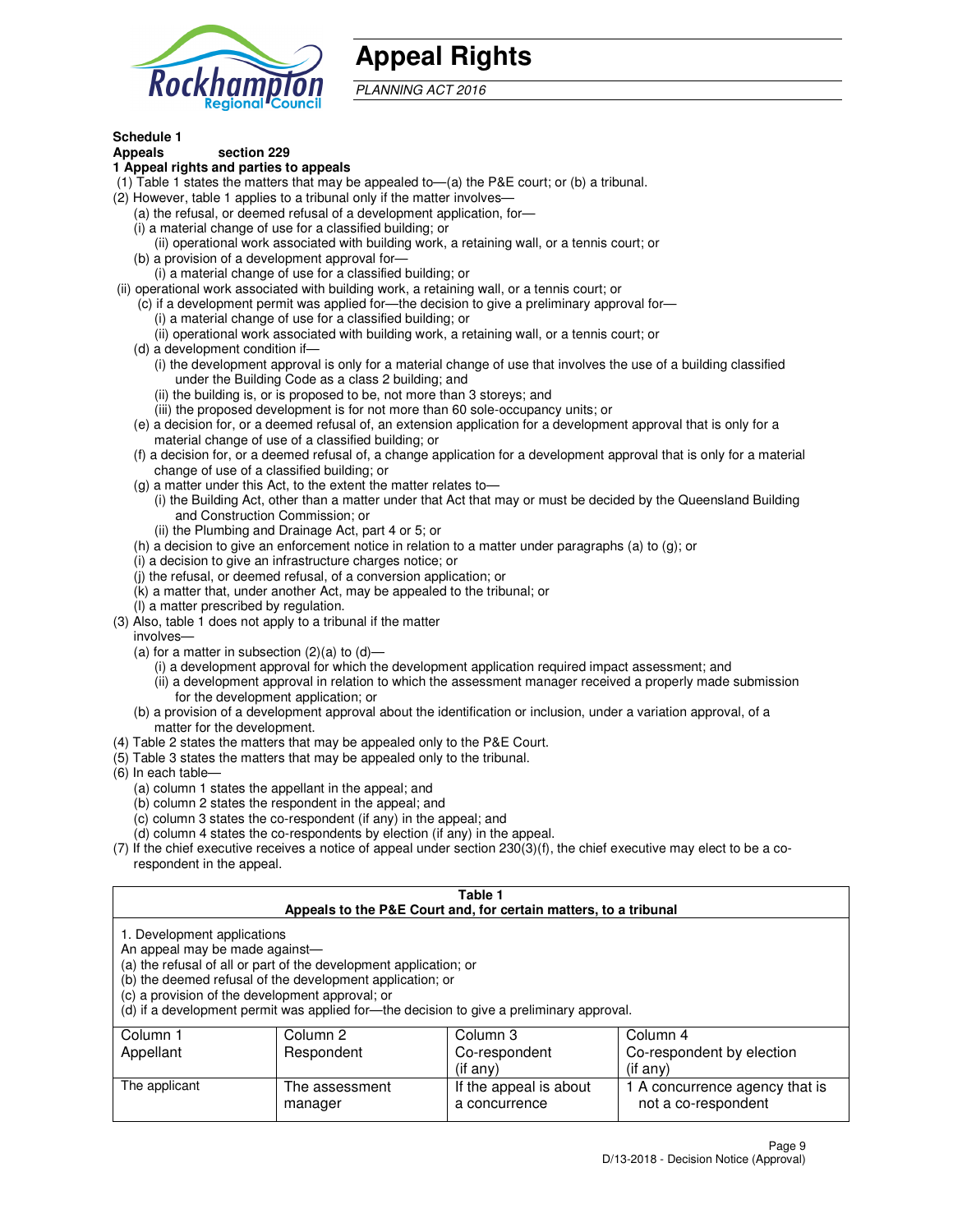

## **Appeal Rights**

PLANNING ACT 2016

## **Schedule 1**

## **Appeals section 229**

#### **1 Appeal rights and parties to appeals**

- (1) Table 1 states the matters that may be appealed to—(a) the P&E court; or (b) a tribunal.
- (2) However, table 1 applies to a tribunal only if the matter involves—
	- (a) the refusal, or deemed refusal of a development application, for—
	- (i) a material change of use for a classified building; or
	- (ii) operational work associated with building work, a retaining wall, or a tennis court; or
	- (b) a provision of a development approval for—
	- (i) a material change of use for a classified building; or
- (ii) operational work associated with building work, a retaining wall, or a tennis court; or
	- (c) if a development permit was applied for—the decision to give a preliminary approval for—
		- (i) a material change of use for a classified building; or
		- (ii) operational work associated with building work, a retaining wall, or a tennis court; or
	- (d) a development condition if—
		- (i) the development approval is only for a material change of use that involves the use of a building classified under the Building Code as a class 2 building; and
		- (ii) the building is, or is proposed to be, not more than 3 storeys; and
		- (iii) the proposed development is for not more than 60 sole-occupancy units; or
	- (e) a decision for, or a deemed refusal of, an extension application for a development approval that is only for a material change of use of a classified building; or
	- (f) a decision for, or a deemed refusal of, a change application for a development approval that is only for a material change of use of a classified building; or
	- (g) a matter under this Act, to the extent the matter relates to—
		- (i) the Building Act, other than a matter under that Act that may or must be decided by the Queensland Building and Construction Commission; or
		- (ii) the Plumbing and Drainage Act, part 4 or 5; or
	- (h) a decision to give an enforcement notice in relation to a matter under paragraphs (a) to (g); or
	- (i) a decision to give an infrastructure charges notice; or
	- (j) the refusal, or deemed refusal, of a conversion application; or
	- (k) a matter that, under another Act, may be appealed to the tribunal; or
	- (l) a matter prescribed by regulation.
- (3) Also, table 1 does not apply to a tribunal if the matter
	- involves—
	- (a) for a matter in subsection  $(2)(a)$  to  $(d)$ 
		- (i) a development approval for which the development application required impact assessment; and
		- (ii) a development approval in relation to which the assessment manager received a properly made submission for the development application; or
	- (b) a provision of a development approval about the identification or inclusion, under a variation approval, of a matter for the development.
- (4) Table 2 states the matters that may be appealed only to the P&E Court.
- (5) Table 3 states the matters that may be appealed only to the tribunal.
- (6) In each table—
	- (a) column 1 states the appellant in the appeal; and
	- (b) column 2 states the respondent in the appeal; and
	- (c) column 3 states the co-respondent (if any) in the appeal; and
	- (d) column 4 states the co-respondents by election (if any) in the appeal.
- $(7)$  If the chief executive receives a notice of appeal under section  $230(3)(f)$ , the chief executive may elect to be a corespondent in the appeal.

| Table |
|-------|
|       |

| Appeals to the P&E Court and, for certain matters, to a tribunal                                                                                                                                                                                                                                                                               |                |                        |                                |  |
|------------------------------------------------------------------------------------------------------------------------------------------------------------------------------------------------------------------------------------------------------------------------------------------------------------------------------------------------|----------------|------------------------|--------------------------------|--|
| 1. Development applications<br>An appeal may be made against-<br>(a) the refusal of all or part of the development application; or<br>(b) the deemed refusal of the development application; or<br>(c) a provision of the development approval; or<br>(d) if a development permit was applied for—the decision to give a preliminary approval. |                |                        |                                |  |
| Column 1                                                                                                                                                                                                                                                                                                                                       | Column 2       | Column 3               | Column 4                       |  |
| Appellant                                                                                                                                                                                                                                                                                                                                      | Respondent     | Co-respondent          | Co-respondent by election      |  |
| $($ if any $)$<br>$($ if any $)$                                                                                                                                                                                                                                                                                                               |                |                        |                                |  |
| The applicant                                                                                                                                                                                                                                                                                                                                  | The assessment | If the appeal is about | 1 A concurrence agency that is |  |
|                                                                                                                                                                                                                                                                                                                                                | manager        | a concurrence          | not a co-respondent            |  |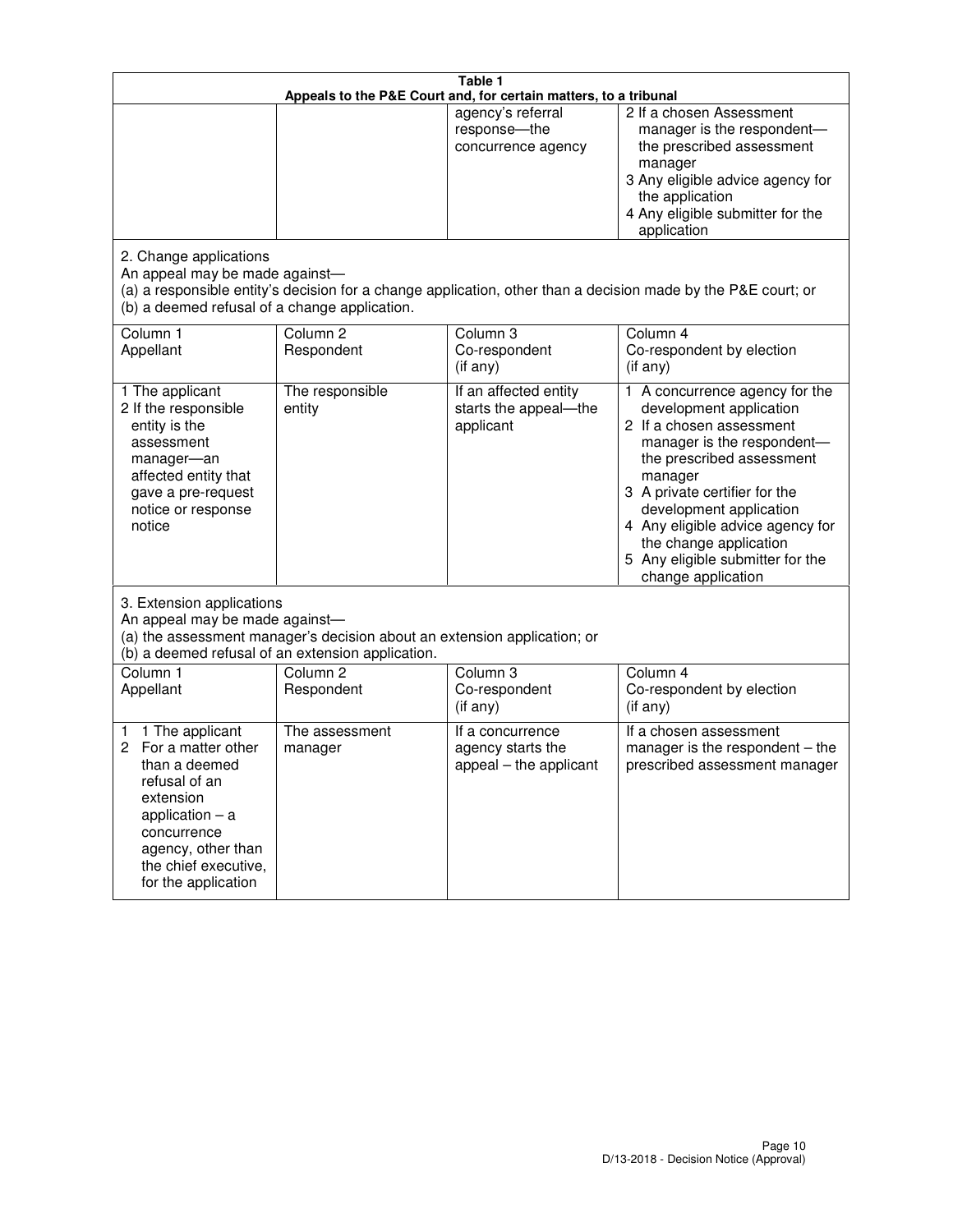|                                                                                                                                                                                                         | Table 1<br>Appeals to the P&E Court and, for certain matters, to a tribunal |                                                                 |                                                                                                                                                                                                                                                                                                                                                     |  |  |
|---------------------------------------------------------------------------------------------------------------------------------------------------------------------------------------------------------|-----------------------------------------------------------------------------|-----------------------------------------------------------------|-----------------------------------------------------------------------------------------------------------------------------------------------------------------------------------------------------------------------------------------------------------------------------------------------------------------------------------------------------|--|--|
|                                                                                                                                                                                                         |                                                                             | agency's referral<br>response-the<br>concurrence agency         | 2 If a chosen Assessment<br>manager is the respondent-<br>the prescribed assessment<br>manager<br>3 Any eligible advice agency for<br>the application<br>4 Any eligible submitter for the<br>application                                                                                                                                            |  |  |
| 2. Change applications<br>An appeal may be made against-<br>(b) a deemed refusal of a change application.                                                                                               |                                                                             |                                                                 | (a) a responsible entity's decision for a change application, other than a decision made by the P&E court; or                                                                                                                                                                                                                                       |  |  |
| Column <sub>1</sub><br>Appellant                                                                                                                                                                        | Column <sub>2</sub><br>Respondent                                           | Column <sub>3</sub><br>Co-respondent<br>(if any)                | Column 4<br>Co-respondent by election<br>(if any)                                                                                                                                                                                                                                                                                                   |  |  |
| 1 The applicant<br>2 If the responsible<br>entity is the<br>assessment<br>manager-an<br>affected entity that<br>gave a pre-request<br>notice or response<br>notice                                      | The responsible<br>entity                                                   | If an affected entity<br>starts the appeal-the<br>applicant     | A concurrence agency for the<br>1.<br>development application<br>2 If a chosen assessment<br>manager is the respondent-<br>the prescribed assessment<br>manager<br>3 A private certifier for the<br>development application<br>4 Any eligible advice agency for<br>the change application<br>5 Any eligible submitter for the<br>change application |  |  |
| 3. Extension applications<br>An appeal may be made against-<br>(a) the assessment manager's decision about an extension application; or<br>(b) a deemed refusal of an extension application.            |                                                                             |                                                                 |                                                                                                                                                                                                                                                                                                                                                     |  |  |
| Column 1<br>Appellant                                                                                                                                                                                   | Column <sub>2</sub><br>Respondent                                           | Column <sub>3</sub><br>Co-respondent<br>(if any)                | Column 4<br>Co-respondent by election<br>(if any)                                                                                                                                                                                                                                                                                                   |  |  |
| 1 The applicant<br>1<br>For a matter other<br>2<br>than a deemed<br>refusal of an<br>extension<br>application $-$ a<br>concurrence<br>agency, other than<br>the chief executive,<br>for the application | The assessment<br>manager                                                   | If a concurrence<br>agency starts the<br>appeal - the applicant | If a chosen assessment<br>manager is the respondent - the<br>prescribed assessment manager                                                                                                                                                                                                                                                          |  |  |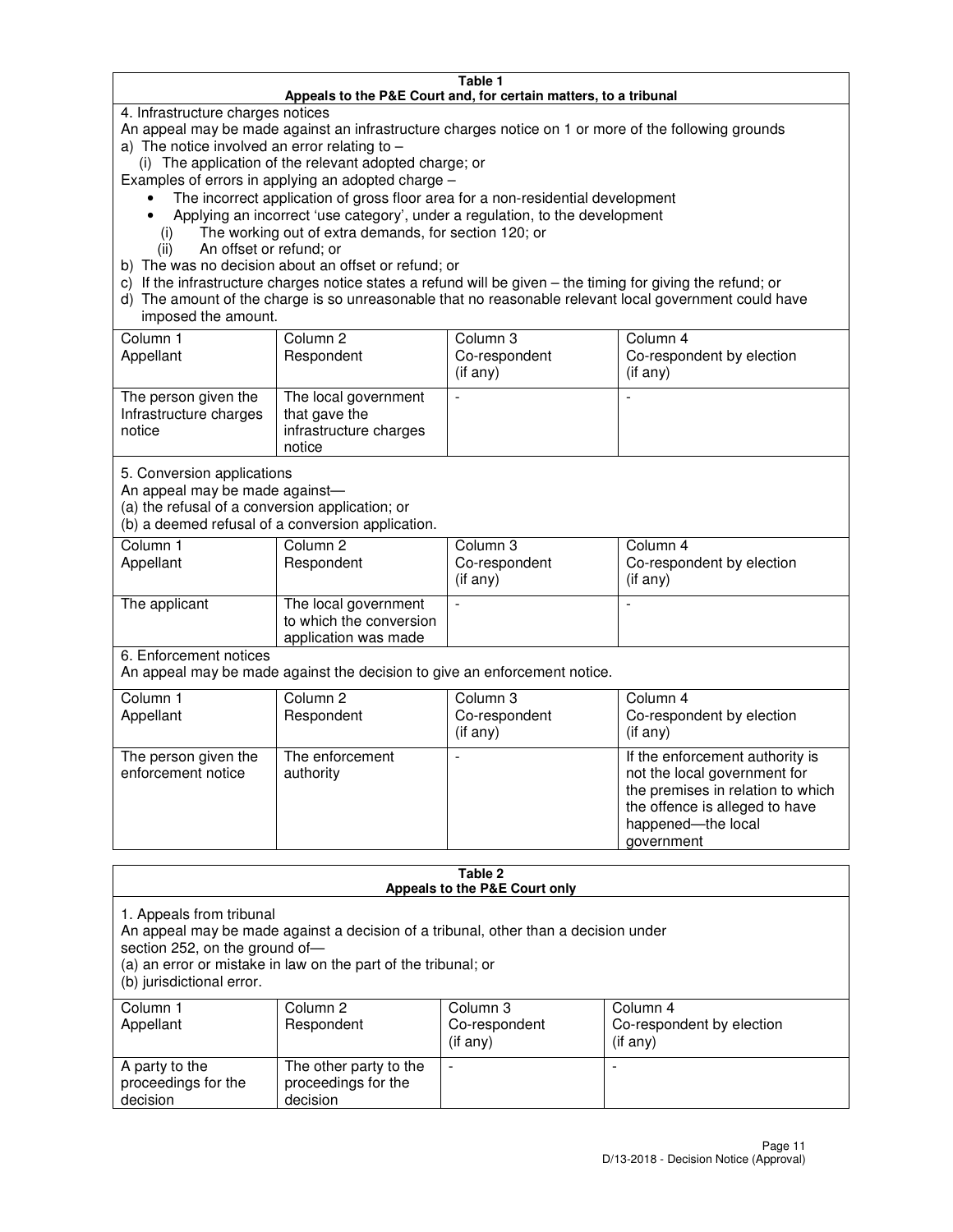#### **Table 1 Appeals to the P&E Court and, for certain matters, to a tribunal**

4. Infrastructure charges notices

An appeal may be made against an infrastructure charges notice on 1 or more of the following grounds

- a) The notice involved an error relating to
	- (i) The application of the relevant adopted charge; or

Examples of errors in applying an adopted charge –

- The incorrect application of gross floor area for a non-residential development
- Applying an incorrect 'use category', under a regulation, to the development
	- (i) The working out of extra demands, for section 120; or
	- (ii) An offset or refund; or
- b) The was no decision about an offset or refund; or
- c) If the infrastructure charges notice states a refund will be given the timing for giving the refund; or
- d) The amount of the charge is so unreasonable that no reasonable relevant local government could have imposed the amount.

| Column 1<br>Appellant                                    | Column 2<br>Respondent                                                    | Column 3<br>Co-respondent<br>$($ if any $)$ | Column 4<br>Co-respondent by election<br>$($ if any $)$ |
|----------------------------------------------------------|---------------------------------------------------------------------------|---------------------------------------------|---------------------------------------------------------|
| The person given the<br>Infrastructure charges<br>notice | The local government<br>that gave the<br>infrastructure charges<br>notice |                                             |                                                         |

5. Conversion applications

An appeal may be made against—

(a) the refusal of a conversion application; or

(b) a deemed refusal of a conversion application.

| Column 1<br>Appellant | Column 2<br>Respondent                                                  | Column 3<br>Co-respondent<br>$($ if any $)$ | Column 4<br>Co-respondent by election<br>$($ if any $)$ |
|-----------------------|-------------------------------------------------------------------------|---------------------------------------------|---------------------------------------------------------|
| The applicant         | The local government<br>to which the conversion<br>application was made |                                             |                                                         |

6. Enforcement notices

An appeal may be made against the decision to give an enforcement notice.

| Column 1<br>Appellant                      | Column 2<br>Respondent       | Column 3<br>Co-respondent<br>$($ if any $)$ | Column 4<br>Co-respondent by election<br>(if any)                                                                                                                          |
|--------------------------------------------|------------------------------|---------------------------------------------|----------------------------------------------------------------------------------------------------------------------------------------------------------------------------|
| The person given the<br>enforcement notice | The enforcement<br>authority |                                             | If the enforcement authority is<br>not the local government for<br>the premises in relation to which<br>the offence is alleged to have<br>happened-the local<br>government |

#### **Table 2 Appeals to the P&E Court only**

1. Appeals from tribunal

An appeal may be made against a decision of a tribunal, other than a decision under

section 252, on the ground of—

(a) an error or mistake in law on the part of the tribunal; or

(b) jurisdictional error.

| Column 1<br>Appellant                             | Column 2<br>Respondent                                    | Column 3<br>Co-respondent<br>(if any) | Column 4<br>Co-respondent by election<br>(if any) |
|---------------------------------------------------|-----------------------------------------------------------|---------------------------------------|---------------------------------------------------|
| A party to the<br>proceedings for the<br>decision | The other party to the<br>proceedings for the<br>decision | $\overline{\phantom{a}}$              |                                                   |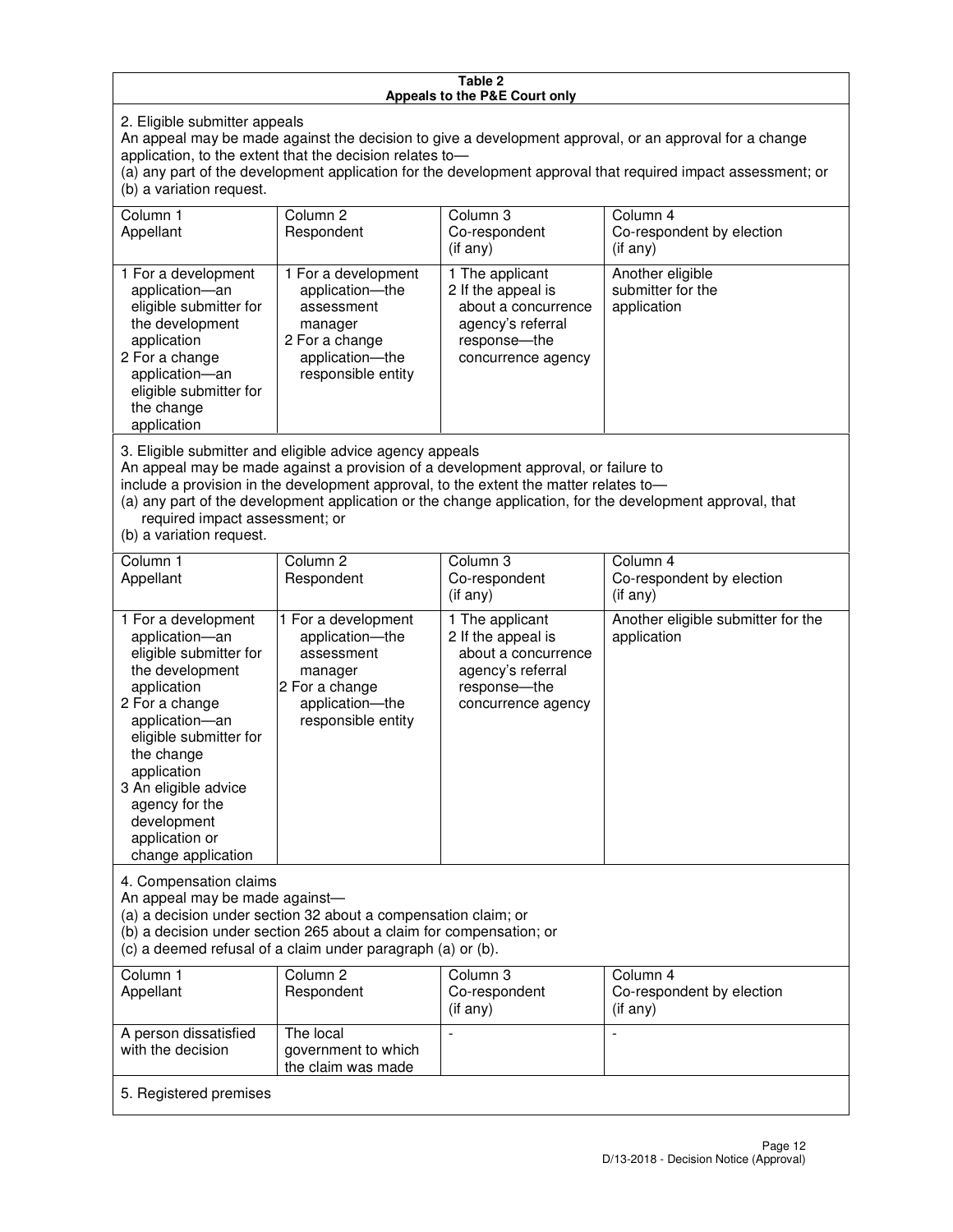#### **Table 2 Appeals to the P&E Court only**

2. Eligible submitter appeals

An appeal may be made against the decision to give a development approval, or an approval for a change application, to the extent that the decision relates to—

(a) any part of the development application for the development approval that required impact assessment; or (b) a variation request.

| Column 1<br>Appellant                                                                                                                                                                                                                                                                                                                                                                                              | Column 2<br>Respondent                                                                                                     | Column 3<br>Co-respondent<br>$($ if any $)$                                                                             | Column 4<br>Co-respondent by election<br>(if any)             |
|--------------------------------------------------------------------------------------------------------------------------------------------------------------------------------------------------------------------------------------------------------------------------------------------------------------------------------------------------------------------------------------------------------------------|----------------------------------------------------------------------------------------------------------------------------|-------------------------------------------------------------------------------------------------------------------------|---------------------------------------------------------------|
| 1 For a development<br>application-an<br>eligible submitter for<br>the development<br>application<br>2 For a change<br>application-an<br>eligible submitter for<br>the change<br>application                                                                                                                                                                                                                       | 1 For a development<br>application-the<br>assessment<br>manager<br>2 For a change<br>application-the<br>responsible entity | 1 The applicant<br>2 If the appeal is<br>about a concurrence<br>agency's referral<br>response-the<br>concurrence agency | Another eligible<br>submitter for the<br>application          |
| 3. Eligible submitter and eligible advice agency appeals<br>An appeal may be made against a provision of a development approval, or failure to<br>include a provision in the development approval, to the extent the matter relates to-<br>(a) any part of the development application or the change application, for the development approval, that<br>required impact assessment; or<br>(b) a variation request. |                                                                                                                            |                                                                                                                         |                                                               |
| Column <sub>1</sub><br>Appellant                                                                                                                                                                                                                                                                                                                                                                                   | Column <sub>2</sub><br>Respondent                                                                                          | Column 3<br>Co-respondent<br>$(if$ any)                                                                                 | Column <sub>4</sub><br>Co-respondent by election<br>(i f any) |
| 1 For a development<br>application-an<br>eligible submitter for<br>the development<br>application                                                                                                                                                                                                                                                                                                                  | 1 For a development<br>application-the<br>assessment<br>manager<br>2 For a change                                          | 1 The applicant<br>2 If the appeal is<br>about a concurrence<br>agency's referral<br>response---the                     | Another eligible submitter for the<br>application             |

concurrence agency

4. Compensation claims

2 For a change application—an eligible submitter for

the change application 3 An eligible advice agency for the development application or change application

An appeal may be made against—

(a) a decision under section 32 about a compensation claim; or

(b) a decision under section 265 about a claim for compensation; or

application—the responsible entity

(c) a deemed refusal of a claim under paragraph (a) or (b).

| Column 1<br>Appellant                      | Column 2<br>Respondent                                 | Column 3<br>Co-respondent<br>$($ if any $)$ | Column 4<br>Co-respondent by election<br>(if any) |  |
|--------------------------------------------|--------------------------------------------------------|---------------------------------------------|---------------------------------------------------|--|
| A person dissatisfied<br>with the decision | The local<br>government to which<br>the claim was made |                                             |                                                   |  |
| 5. Registered premises                     |                                                        |                                             |                                                   |  |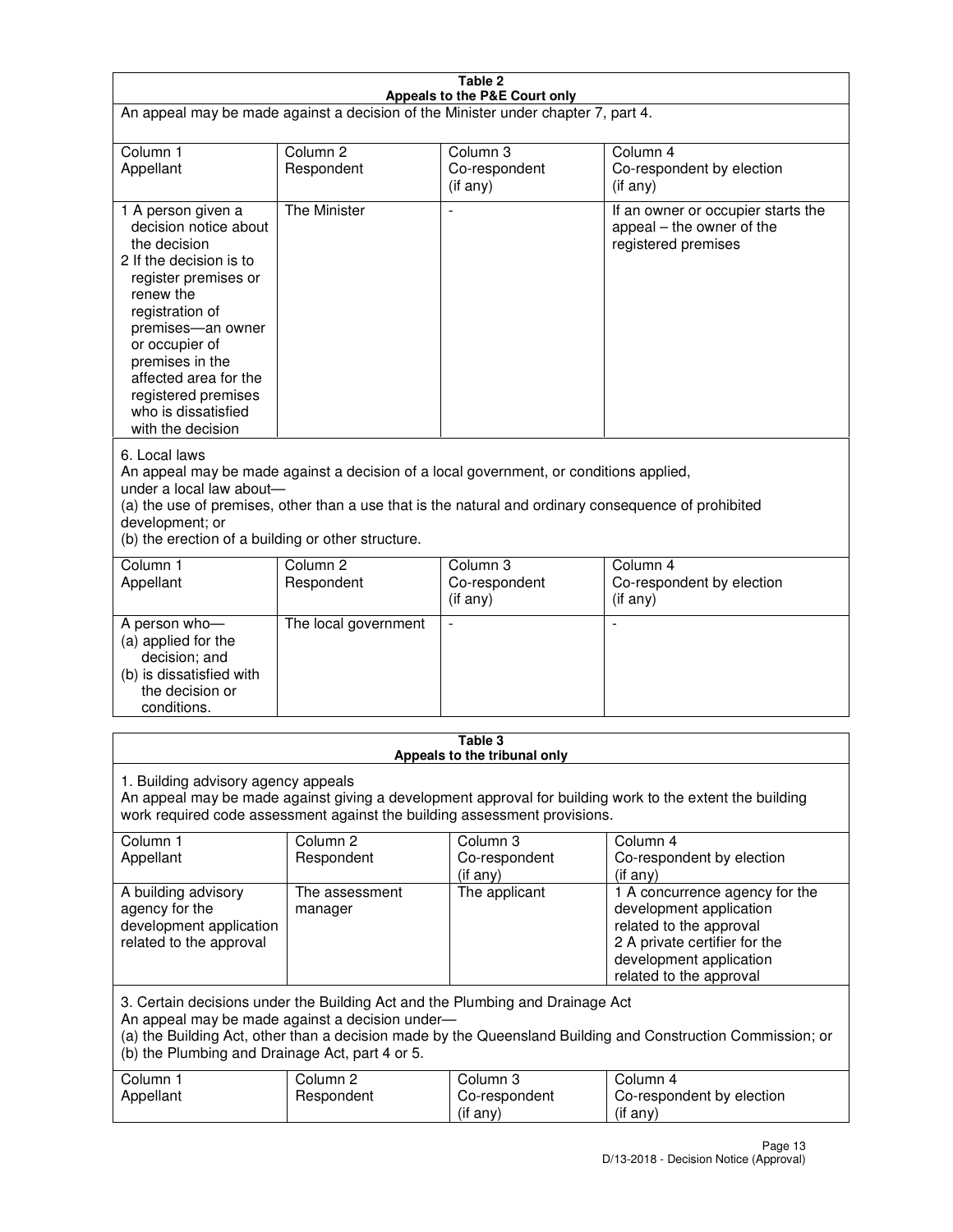| Table 2<br>Appeals to the P&E Court only                                                                                                                                                                                                                                                                                |                                   |                                       |                                                                                                                                                                             |  |  |
|-------------------------------------------------------------------------------------------------------------------------------------------------------------------------------------------------------------------------------------------------------------------------------------------------------------------------|-----------------------------------|---------------------------------------|-----------------------------------------------------------------------------------------------------------------------------------------------------------------------------|--|--|
| An appeal may be made against a decision of the Minister under chapter 7, part 4.                                                                                                                                                                                                                                       |                                   |                                       |                                                                                                                                                                             |  |  |
|                                                                                                                                                                                                                                                                                                                         |                                   |                                       |                                                                                                                                                                             |  |  |
| Column 1<br>Appellant                                                                                                                                                                                                                                                                                                   | Column <sub>2</sub><br>Respondent | Column <sub>3</sub><br>Co-respondent  | Column <sub>4</sub><br>Co-respondent by election                                                                                                                            |  |  |
|                                                                                                                                                                                                                                                                                                                         |                                   | (if any)                              | (if any)                                                                                                                                                                    |  |  |
| 1 A person given a<br>decision notice about<br>the decision<br>2 If the decision is to<br>register premises or<br>renew the<br>registration of<br>premises-an owner<br>or occupier of<br>premises in the<br>affected area for the<br>registered premises<br>who is dissatisfied<br>with the decision                    | <b>The Minister</b>               |                                       | If an owner or occupier starts the<br>appeal – the owner of the<br>registered premises                                                                                      |  |  |
| 6. Local laws<br>An appeal may be made against a decision of a local government, or conditions applied,<br>under a local law about-<br>(a) the use of premises, other than a use that is the natural and ordinary consequence of prohibited<br>development; or<br>(b) the erection of a building or other structure.    |                                   |                                       |                                                                                                                                                                             |  |  |
| Column 1                                                                                                                                                                                                                                                                                                                | Column <sub>2</sub>               | Column 3                              | Column $\overline{4}$                                                                                                                                                       |  |  |
| Appellant                                                                                                                                                                                                                                                                                                               | Respondent                        | Co-respondent<br>(if any)             | Co-respondent by election<br>(if any)                                                                                                                                       |  |  |
| A person who-<br>(a) applied for the<br>decision; and<br>(b) is dissatisfied with<br>the decision or<br>conditions.                                                                                                                                                                                                     | The local government              |                                       |                                                                                                                                                                             |  |  |
| Table 3                                                                                                                                                                                                                                                                                                                 |                                   |                                       |                                                                                                                                                                             |  |  |
| Appeals to the tribunal only<br>1. Building advisory agency appeals<br>An appeal may be made against giving a development approval for building work to the extent the building<br>work required code assessment against the building assessment provisions.<br>Column 1<br>Column <sub>2</sub><br>Column 3<br>Column 4 |                                   |                                       |                                                                                                                                                                             |  |  |
| Appellant                                                                                                                                                                                                                                                                                                               | Respondent                        | Co-respondent<br>(if any)             | Co-respondent by election<br>(if any)                                                                                                                                       |  |  |
| A building advisory<br>agency for the<br>development application<br>related to the approval                                                                                                                                                                                                                             | The assessment<br>manager         | The applicant                         | 1 A concurrence agency for the<br>development application<br>related to the approval<br>2 A private certifier for the<br>development application<br>related to the approval |  |  |
| 3. Certain decisions under the Building Act and the Plumbing and Drainage Act<br>An appeal may be made against a decision under-<br>(a) the Building Act, other than a decision made by the Queensland Building and Construction Commission; or<br>(b) the Plumbing and Drainage Act, part 4 or 5.                      |                                   |                                       |                                                                                                                                                                             |  |  |
| Column 1<br>Appellant                                                                                                                                                                                                                                                                                                   | Column <sub>2</sub><br>Respondent | Column 3<br>Co-respondent<br>(if any) | Column 4<br>Co-respondent by election<br>(if any)                                                                                                                           |  |  |